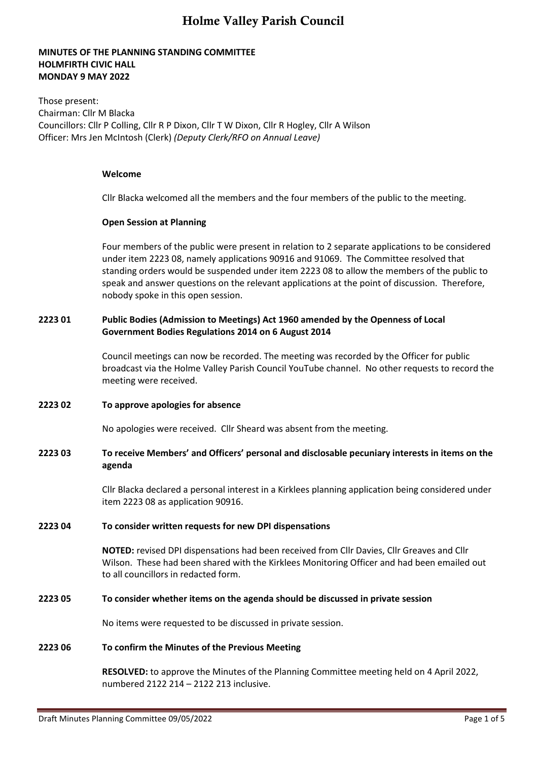### **MINUTES OF THE PLANNING STANDING COMMITTEE HOLMFIRTH CIVIC HALL MONDAY 9 MAY 2022**

Those present: Chairman: Cllr M Blacka Councillors: Cllr P Colling, Cllr R P Dixon, Cllr T W Dixon, Cllr R Hogley, Cllr A Wilson Officer: Mrs Jen McIntosh (Clerk) *(Deputy Clerk/RFO on Annual Leave)*

#### **Welcome**

Cllr Blacka welcomed all the members and the four members of the public to the meeting.

#### **Open Session at Planning**

Four members of the public were present in relation to 2 separate applications to be considered under item 2223 08, namely applications 90916 and 91069. The Committee resolved that standing orders would be suspended under item 2223 08 to allow the members of the public to speak and answer questions on the relevant applications at the point of discussion. Therefore, nobody spoke in this open session.

### **2223 01 Public Bodies (Admission to Meetings) Act 1960 amended by the Openness of Local Government Bodies Regulations 2014 on 6 August 2014**

Council meetings can now be recorded. The meeting was recorded by the Officer for public broadcast via the Holme Valley Parish Council YouTube channel. No other requests to record the meeting were received.

### **2223 02 To approve apologies for absence**

No apologies were received. Cllr Sheard was absent from the meeting.

### **2223 03 To receive Members' and Officers' personal and disclosable pecuniary interests in items on the agenda**

Cllr Blacka declared a personal interest in a Kirklees planning application being considered under item 2223 08 as application 90916.

#### **2223 04 To consider written requests for new DPI dispensations**

**NOTED:** revised DPI dispensations had been received from Cllr Davies, Cllr Greaves and Cllr Wilson. These had been shared with the Kirklees Monitoring Officer and had been emailed out to all councillors in redacted form.

### **2223 05 To consider whether items on the agenda should be discussed in private session**

No items were requested to be discussed in private session.

### **2223 06 To confirm the Minutes of the Previous Meeting**

**RESOLVED:** to approve the Minutes of the Planning Committee meeting held on 4 April 2022, numbered 2122 214 – 2122 213 inclusive.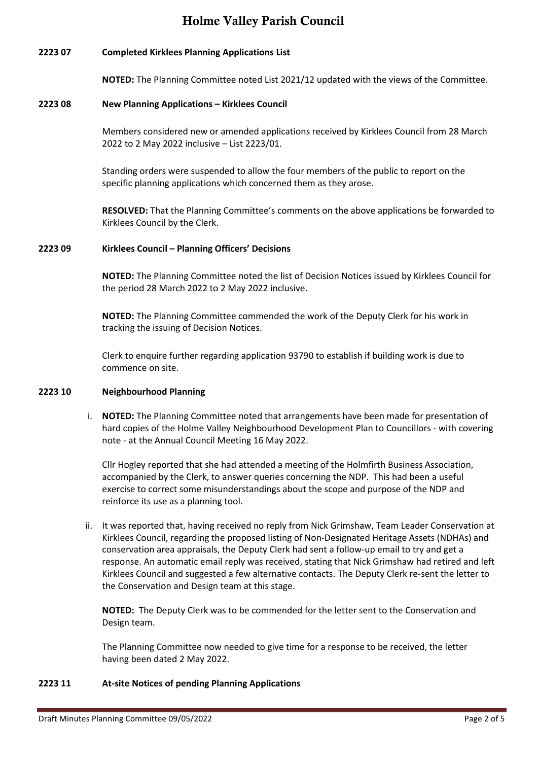### **2223 07 Completed Kirklees Planning Applications List**

**NOTED:** The Planning Committee noted List 2021/12 updated with the views of the Committee.

### **2223 08 New Planning Applications – Kirklees Council**

Members considered new or amended applications received by Kirklees Council from 28 March 2022 to 2 May 2022 inclusive – List 2223/01.

Standing orders were suspended to allow the four members of the public to report on the specific planning applications which concerned them as they arose.

**RESOLVED:** That the Planning Committee's comments on the above applications be forwarded to Kirklees Council by the Clerk.

### **2223 09 Kirklees Council – Planning Officers' Decisions**

**NOTED:** The Planning Committee noted the list of Decision Notices issued by Kirklees Council for the period 28 March 2022 to 2 May 2022 inclusive.

**NOTED:** The Planning Committee commended the work of the Deputy Clerk for his work in tracking the issuing of Decision Notices.

Clerk to enquire further regarding application 93790 to establish if building work is due to commence on site.

### **2223 10 Neighbourhood Planning**

i. **NOTED:** The Planning Committee noted that arrangements have been made for presentation of hard copies of the Holme Valley Neighbourhood Development Plan to Councillors - with covering note - at the Annual Council Meeting 16 May 2022.

Cllr Hogley reported that she had attended a meeting of the Holmfirth Business Association, accompanied by the Clerk, to answer queries concerning the NDP. This had been a useful exercise to correct some misunderstandings about the scope and purpose of the NDP and reinforce its use as a planning tool.

ii. It was reported that, having received no reply from Nick Grimshaw, Team Leader Conservation at Kirklees Council, regarding the proposed listing of Non-Designated Heritage Assets (NDHAs) and conservation area appraisals, the Deputy Clerk had sent a follow-up email to try and get a response. An automatic email reply was received, stating that Nick Grimshaw had retired and left Kirklees Council and suggested a few alternative contacts. The Deputy Clerk re-sent the letter to the Conservation and Design team at this stage.

**NOTED:** The Deputy Clerk was to be commended for the letter sent to the Conservation and Design team.

The Planning Committee now needed to give time for a response to be received, the letter having been dated 2 May 2022.

## **2223 11 At-site Notices of pending Planning Applications**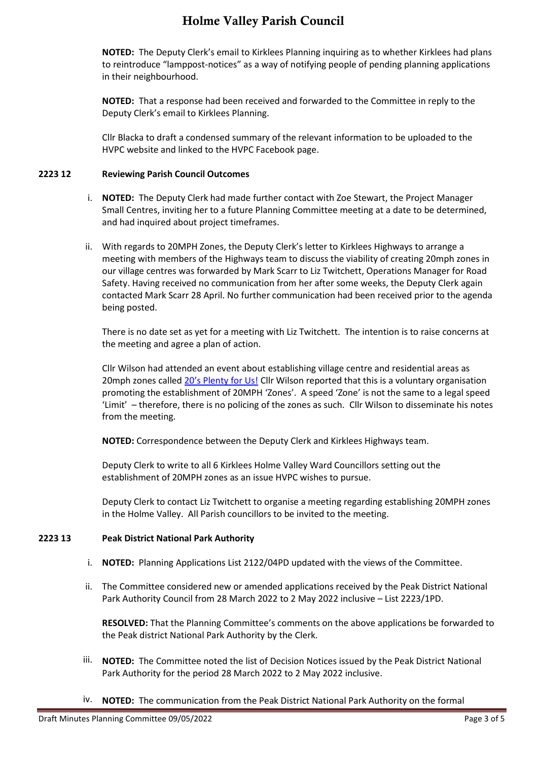**NOTED:** The Deputy Clerk's email to Kirklees Planning inquiring as to whether Kirklees had plans to reintroduce "lamppost-notices" as a way of notifying people of pending planning applications in their neighbourhood.

**NOTED:** That a response had been received and forwarded to the Committee in reply to the Deputy Clerk's email to Kirklees Planning.

Cllr Blacka to draft a condensed summary of the relevant information to be uploaded to the HVPC website and linked to the HVPC Facebook page.

### **2223 12 Reviewing Parish Council Outcomes**

- i. **NOTED:** The Deputy Clerk had made further contact with Zoe Stewart, the Project Manager Small Centres, inviting her to a future Planning Committee meeting at a date to be determined, and had inquired about project timeframes.
- ii. With regards to 20MPH Zones, the Deputy Clerk's letter to Kirklees Highways to arrange a meeting with members of the Highways team to discuss the viability of creating 20mph zones in our village centres was forwarded by Mark Scarr to Liz Twitchett, Operations Manager for Road Safety. Having received no communication from her after some weeks, the Deputy Clerk again contacted Mark Scarr 28 April. No further communication had been received prior to the agenda being posted.

There is no date set as yet for a meeting with Liz Twitchett. The intention is to raise concerns at the meeting and agree a plan of action.

Cllr Wilson had attended an event about establishing village centre and residential areas as 20mph zones called [20's Plenty for Us!](https://vimeo.com/605870288) Cllr Wilson reported that this is a voluntary organisation promoting the establishment of 20MPH 'Zones'. A speed 'Zone' is not the same to a legal speed 'Limit' – therefore, there is no policing of the zones as such. Cllr Wilson to disseminate his notes from the meeting.

**NOTED:** Correspondence between the Deputy Clerk and Kirklees Highways team.

Deputy Clerk to write to all 6 Kirklees Holme Valley Ward Councillors setting out the establishment of 20MPH zones as an issue HVPC wishes to pursue.

Deputy Clerk to contact Liz Twitchett to organise a meeting regarding establishing 20MPH zones in the Holme Valley. All Parish councillors to be invited to the meeting.

### **2223 13 Peak District National Park Authority**

- i. **NOTED:** Planning Applications List 2122/04PD updated with the views of the Committee.
- ii. The Committee considered new or amended applications received by the Peak District National Park Authority Council from 28 March 2022 to 2 May 2022 inclusive – List 2223/1PD.

**RESOLVED:** That the Planning Committee's comments on the above applications be forwarded to the Peak district National Park Authority by the Clerk.

- iii. **NOTED:** The Committee noted the list of Decision Notices issued by the Peak District National Park Authority for the period 28 March 2022 to 2 May 2022 inclusive.
- iv. **NOTED:** The communication from the Peak District National Park Authority on the formal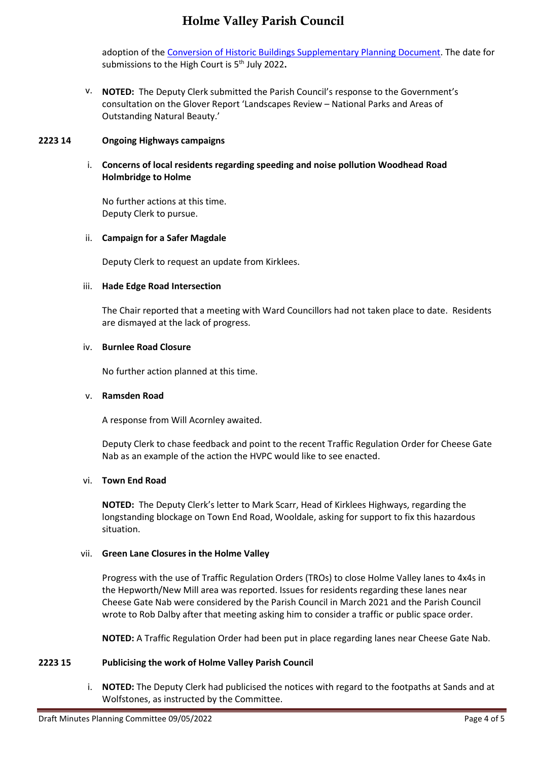adoption of the [Conversion of Historic Buildings Supplementary Planning Document.](https://www.peakdistrict.gov.uk/__data/assets/pdf_file/0026/417572/Conversion-of-Historic-Buildings-SPD.pdf) The date for submissions to the High Court is 5<sup>th</sup> July 2022.

v. **NOTED:** The Deputy Clerk submitted the Parish Council's response to the Government's consultation on the Glover Report 'Landscapes Review – National Parks and Areas of Outstanding Natural Beauty.'

### **2223 14 Ongoing Highways campaigns**

### i. **Concerns of local residents regarding speeding and noise pollution Woodhead Road Holmbridge to Holme**

No further actions at this time. Deputy Clerk to pursue.

### ii. **Campaign for a Safer Magdale**

Deputy Clerk to request an update from Kirklees.

### iii. **Hade Edge Road Intersection**

The Chair reported that a meeting with Ward Councillors had not taken place to date. Residents are dismayed at the lack of progress.

### iv. **Burnlee Road Closure**

No further action planned at this time.

### v. **Ramsden Road**

A response from Will Acornley awaited.

Deputy Clerk to chase feedback and point to the recent Traffic Regulation Order for Cheese Gate Nab as an example of the action the HVPC would like to see enacted.

### vi. **Town End Road**

**NOTED:** The Deputy Clerk's letter to Mark Scarr, Head of Kirklees Highways, regarding the longstanding blockage on Town End Road, Wooldale, asking for support to fix this hazardous situation.

### vii. **Green Lane Closures in the Holme Valley**

Progress with the use of Traffic Regulation Orders (TROs) to close Holme Valley lanes to 4x4s in the Hepworth/New Mill area was reported. Issues for residents regarding these lanes near Cheese Gate Nab were considered by the Parish Council in March 2021 and the Parish Council wrote to Rob Dalby after that meeting asking him to consider a traffic or public space order.

**NOTED:** A Traffic Regulation Order had been put in place regarding lanes near Cheese Gate Nab.

### **2223 15 Publicising the work of Holme Valley Parish Council**

i. **NOTED:** The Deputy Clerk had publicised the notices with regard to the footpaths at Sands and at Wolfstones, as instructed by the Committee.